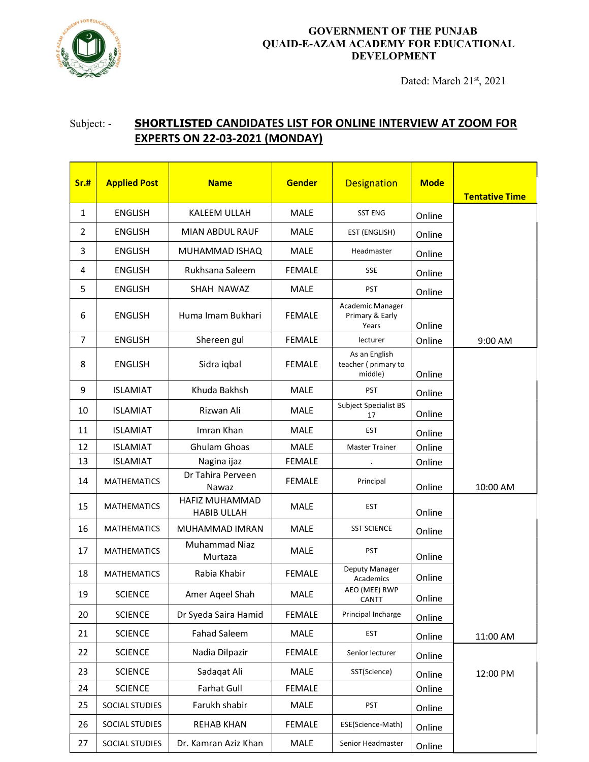

## GOVERNMENT OF THE PUNJAB QUAID-E-AZAM ACADEMY FOR EDUCATIONAL DEVELOPMENT

Dated: March 21st, 2021

## Subject: - SHORTLISTED CANDIDATES LIST FOR ONLINE INTERVIEW AT ZOOM FOR EXPERTS ON 22-03-2021 (MONDAY)

| Sr.#           | <b>Applied Post</b> | <b>Name</b>                          | <b>Gender</b> | <b>Designation</b>                              | <b>Mode</b> | <b>Tentative Time</b> |
|----------------|---------------------|--------------------------------------|---------------|-------------------------------------------------|-------------|-----------------------|
| $\mathbf{1}$   | <b>ENGLISH</b>      | KALEEM ULLAH                         | <b>MALE</b>   | <b>SST ENG</b>                                  | Online      |                       |
| $\overline{2}$ | <b>ENGLISH</b>      | MIAN ABDUL RAUF                      | MALE          | EST (ENGLISH)                                   | Online      |                       |
| 3              | <b>ENGLISH</b>      | MUHAMMAD ISHAQ                       | MALE          | Headmaster                                      | Online      |                       |
| 4              | <b>ENGLISH</b>      | Rukhsana Saleem                      | <b>FEMALE</b> | SSE                                             | Online      |                       |
| 5              | <b>ENGLISH</b>      | SHAH NAWAZ                           | <b>MALE</b>   | <b>PST</b>                                      | Online      |                       |
| 6              | <b>ENGLISH</b>      | Huma Imam Bukhari                    | <b>FEMALE</b> | Academic Manager<br>Primary & Early<br>Years    | Online      |                       |
| $\overline{7}$ | <b>ENGLISH</b>      | Shereen gul                          | <b>FEMALE</b> | lecturer                                        | Online      | 9:00 AM               |
| 8              | <b>ENGLISH</b>      | Sidra iqbal                          | <b>FEMALE</b> | As an English<br>teacher (primary to<br>middle) | Online      |                       |
| 9              | <b>ISLAMIAT</b>     | Khuda Bakhsh                         | <b>MALE</b>   | <b>PST</b>                                      | Online      |                       |
| 10             | <b>ISLAMIAT</b>     | Rizwan Ali                           | <b>MALE</b>   | Subject Specialist BS<br>17                     | Online      |                       |
| 11             | <b>ISLAMIAT</b>     | Imran Khan                           | <b>MALE</b>   | <b>EST</b>                                      | Online      |                       |
| 12             | <b>ISLAMIAT</b>     | Ghulam Ghoas                         | <b>MALE</b>   | Master Trainer                                  | Online      |                       |
| 13             | <b>ISLAMIAT</b>     | Nagina ijaz                          | <b>FEMALE</b> |                                                 | Online      |                       |
| 14             | <b>MATHEMATICS</b>  | Dr Tahira Perveen<br>Nawaz           | <b>FEMALE</b> | Principal                                       | Online      | 10:00 AM              |
| 15             | <b>MATHEMATICS</b>  | HAFIZ MUHAMMAD<br><b>HABIB ULLAH</b> | <b>MALE</b>   | <b>EST</b>                                      | Online      |                       |
| 16             | <b>MATHEMATICS</b>  | MUHAMMAD IMRAN                       | <b>MALE</b>   | <b>SST SCIENCE</b>                              | Online      |                       |
| 17             | <b>MATHEMATICS</b>  | Muhammad Niaz<br>Murtaza             | <b>MALE</b>   | <b>PST</b>                                      | Online      |                       |
| 18             | <b>MATHEMATICS</b>  | Rabia Khabir                         | <b>FEMALE</b> | Deputy Manager<br>Academics                     | Online      |                       |
| 19             | <b>SCIENCE</b>      | Amer Aqeel Shah                      | MALE          | AEO (MEE) RWP<br>CANTT                          | Online      |                       |
| 20             | <b>SCIENCE</b>      | Dr Syeda Saira Hamid                 | <b>FEMALE</b> | Principal Incharge                              | Online      |                       |
| 21             | <b>SCIENCE</b>      | <b>Fahad Saleem</b>                  | MALE          | <b>EST</b>                                      | Online      | 11:00 AM              |
| 22             | <b>SCIENCE</b>      | Nadia Dilpazir                       | <b>FEMALE</b> | Senior lecturer                                 | Online      |                       |
| 23             | <b>SCIENCE</b>      | Sadaqat Ali                          | MALE          | SST(Science)                                    | Online      | 12:00 PM              |
| 24             | <b>SCIENCE</b>      | Farhat Gull                          | <b>FEMALE</b> |                                                 | Online      |                       |
| 25             | SOCIAL STUDIES      | Farukh shabir                        | MALE          | PST                                             | Online      |                       |
| 26             | SOCIAL STUDIES      | <b>REHAB KHAN</b>                    | <b>FEMALE</b> | ESE(Science-Math)                               | Online      |                       |
| 27             | SOCIAL STUDIES      | Dr. Kamran Aziz Khan                 | MALE          | Senior Headmaster                               | Online      |                       |